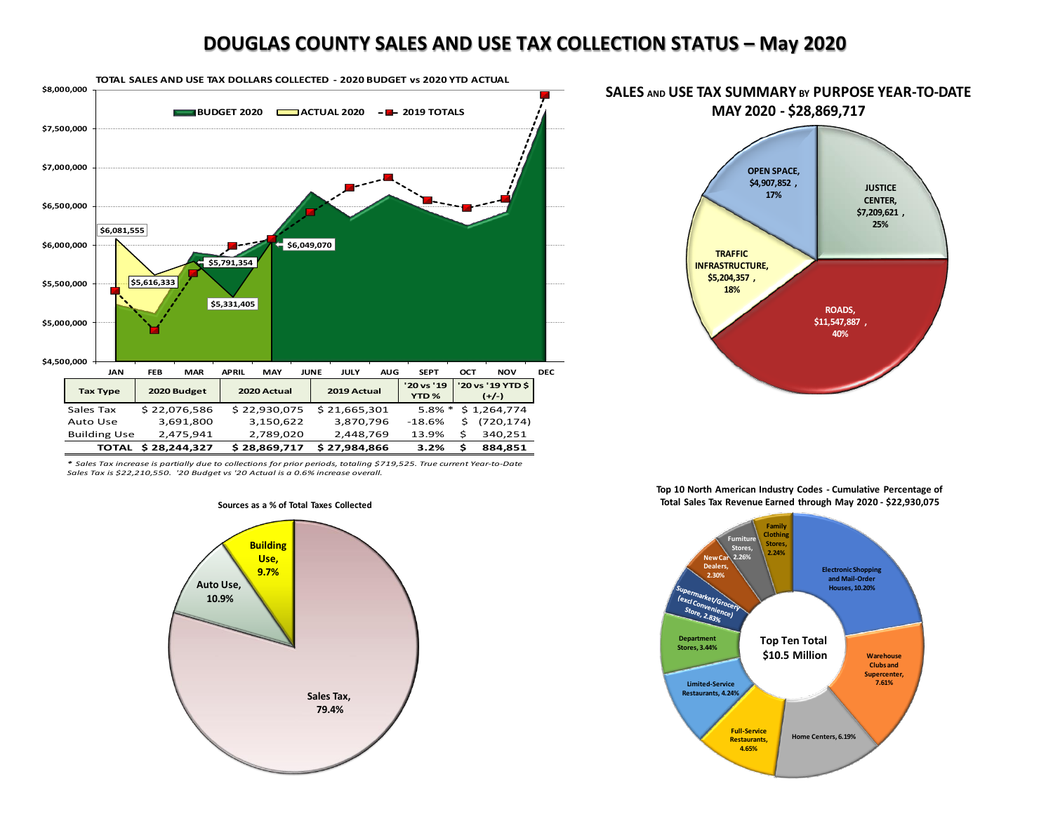## **DOUGLAS COUNTY SALES AND USE TAX COLLECTION STATUS – May 2020**



*\* Sales Tax increase is partially due to collections for prior periods, totaling \$719,525. True current Year-to-Date Sales Tax is \$22,210,550. '20 Budget vs '20 Actual is a 0.6% increase overall.* 

## **Sources as a % of Total Taxes Collected**





**Top 10 North American Industry Codes - Cumulative Percentage of Total Sales Tax Revenue Earned through May 2020 - \$22,930,075**